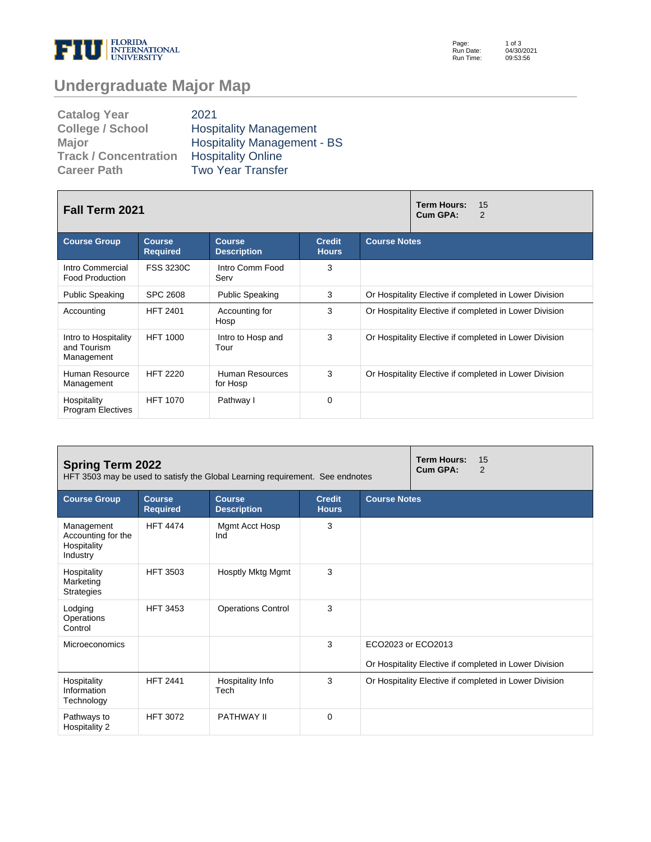

Page: Run Date: Run Time: 1 of 3 04/30/2021 09:53:56

# **Undergraduate Major Map**

| <b>Catalog Year</b>          | 2021                               |
|------------------------------|------------------------------------|
| <b>College / School</b>      | <b>Hospitality Management</b>      |
| <b>Major</b>                 | <b>Hospitality Management - BS</b> |
| <b>Track / Concentration</b> | <b>Hospitality Online</b>          |
| <b>Career Path</b>           | <b>Two Year Transfer</b>           |

#### **Fall Term 2021 Term Hours:** <sup>15</sup> **Cum GPA: Course Group Course Required Course Description Credit Hours Course Notes** Intro Commercial Food Production FSS 3230C | Intro Comm Food Serv 3 Public Speaking SPC 2608 Public Speaking 3 Or Hospitality Elective if completed in Lower Division Accounting HFT 2401 Accounting for Hosp 3 Or Hospitality Elective if completed in Lower Division Intro to Hospitality and Tourism Management HFT 1000 | Intro to Hosp and Tour 3 Or Hospitality Elective if completed in Lower Division Human Resource Management HFT 2220 Human Resources for Hosp 3 Or Hospitality Elective if completed in Lower Division Hospitality Program Electives HFT 1070 Pathway I 0

| <b>Term Hours:</b><br>15<br><b>Spring Term 2022</b><br>Cum GPA:<br>2<br>HFT 3503 may be used to satisfy the Global Learning requirement. See endnotes |                                  |                                     |                               |                     |  |                                                        |
|-------------------------------------------------------------------------------------------------------------------------------------------------------|----------------------------------|-------------------------------------|-------------------------------|---------------------|--|--------------------------------------------------------|
| <b>Course Group</b>                                                                                                                                   | <b>Course</b><br><b>Required</b> | <b>Course</b><br><b>Description</b> | <b>Credit</b><br><b>Hours</b> | <b>Course Notes</b> |  |                                                        |
| Management<br>Accounting for the<br>Hospitality<br>Industry                                                                                           | <b>HFT 4474</b>                  | Mgmt Acct Hosp<br>Ind               | 3                             |                     |  |                                                        |
| Hospitality<br>Marketing<br><b>Strategies</b>                                                                                                         | <b>HFT 3503</b>                  | Hosptly Mktg Mgmt                   | 3                             |                     |  |                                                        |
| Lodging<br>Operations<br>Control                                                                                                                      | <b>HFT 3453</b>                  | <b>Operations Control</b>           | 3                             |                     |  |                                                        |
| Microeconomics                                                                                                                                        |                                  |                                     | 3                             | ECO2023 or ECO2013  |  |                                                        |
|                                                                                                                                                       |                                  |                                     |                               |                     |  | Or Hospitality Elective if completed in Lower Division |
| Hospitality<br>Information<br>Technology                                                                                                              | <b>HFT 2441</b>                  | Hospitality Info<br>Tech            | 3                             |                     |  | Or Hospitality Elective if completed in Lower Division |
| Pathways to<br>Hospitality 2                                                                                                                          | <b>HFT 3072</b>                  | <b>PATHWAY II</b>                   | 0                             |                     |  |                                                        |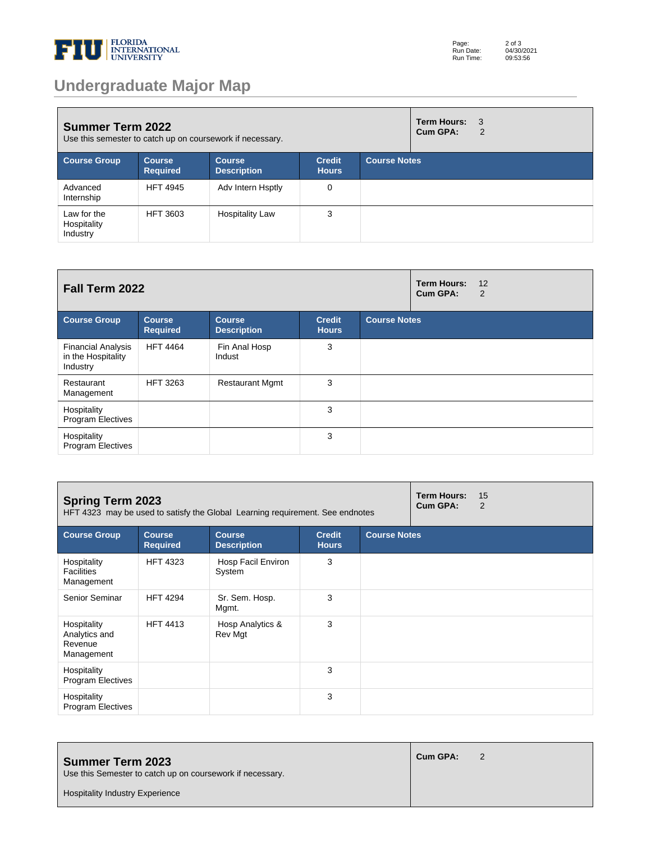

# **Undergraduate Major Map**

| <b>Summer Term 2022</b><br>Use this semester to catch up on coursework if necessary. |                                  |                                     |                               |                     | <b>Term Hours:</b><br>- 3<br>Cum GPA:<br>2 |
|--------------------------------------------------------------------------------------|----------------------------------|-------------------------------------|-------------------------------|---------------------|--------------------------------------------|
| <b>Course Group</b>                                                                  | <b>Course</b><br><b>Required</b> | <b>Course</b><br><b>Description</b> | <b>Credit</b><br><b>Hours</b> | <b>Course Notes</b> |                                            |
| Advanced<br>Internship                                                               | <b>HFT 4945</b>                  | Adv Intern Hsptly                   | $\mathbf 0$                   |                     |                                            |
| Law for the<br>Hospitality<br>Industry                                               | <b>HFT 3603</b>                  | <b>Hospitality Law</b>              | 3                             |                     |                                            |

| Fall Term 2022                                              |                                  |                              |                               |                     | <b>Term Hours:</b><br>Cum GPA: | 12<br>2 |
|-------------------------------------------------------------|----------------------------------|------------------------------|-------------------------------|---------------------|--------------------------------|---------|
| <b>Course Group</b>                                         | <b>Course</b><br><b>Required</b> | Course<br><b>Description</b> | <b>Credit</b><br><b>Hours</b> | <b>Course Notes</b> |                                |         |
| <b>Financial Analysis</b><br>in the Hospitality<br>Industry | <b>HFT 4464</b>                  | Fin Anal Hosp<br>Indust      | 3                             |                     |                                |         |
| Restaurant<br>Management                                    | <b>HFT 3263</b>                  | <b>Restaurant Mgmt</b>       | 3                             |                     |                                |         |
| Hospitality<br><b>Program Electives</b>                     |                                  |                              | 3                             |                     |                                |         |
| Hospitality<br><b>Program Electives</b>                     |                                  |                              | 3                             |                     |                                |         |

| <b>Spring Term 2023</b><br>HFT 4323 may be used to satisfy the Global Learning requirement. See endnotes |                                  |                                     |                               |                     | <b>Term Hours:</b><br>Cum GPA: | 15<br>$\overline{2}$ |
|----------------------------------------------------------------------------------------------------------|----------------------------------|-------------------------------------|-------------------------------|---------------------|--------------------------------|----------------------|
| <b>Course Group</b>                                                                                      | <b>Course</b><br><b>Required</b> | <b>Course</b><br><b>Description</b> | <b>Credit</b><br><b>Hours</b> | <b>Course Notes</b> |                                |                      |
| Hospitality<br><b>Facilities</b><br>Management                                                           | <b>HFT 4323</b>                  | Hosp Facil Environ<br>System        | 3                             |                     |                                |                      |
| Senior Seminar                                                                                           | <b>HFT 4294</b>                  | Sr. Sem. Hosp.<br>Mgmt.             | 3                             |                     |                                |                      |
| Hospitality<br>Analytics and<br>Revenue<br>Management                                                    | <b>HFT 4413</b>                  | Hosp Analytics &<br>Rev Mgt         | 3                             |                     |                                |                      |
| Hospitality<br><b>Program Electives</b>                                                                  |                                  |                                     | 3                             |                     |                                |                      |
| Hospitality<br><b>Program Electives</b>                                                                  |                                  |                                     | 3                             |                     |                                |                      |

| Summer Term 2023<br>Use this Semester to catch up on coursework if necessary. | <b>Cum GPA:</b> | $\overline{\phantom{0}}^2$ |
|-------------------------------------------------------------------------------|-----------------|----------------------------|
| <b>Hospitality Industry Experience</b>                                        |                 |                            |